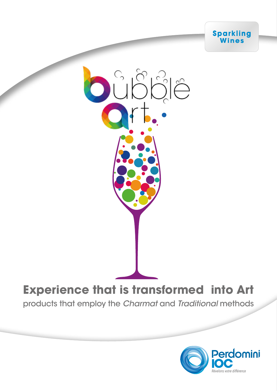



### **Experience that is transformed into Art**

products that employ the Charmat and Traditional methods

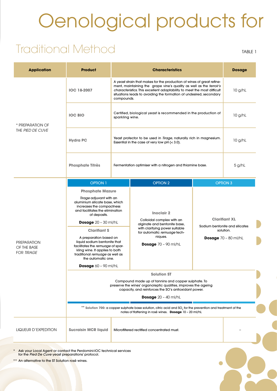# Oenological products for

### Traditional Method

TABLE 1

|                                                        | <b>Product</b>                                                                                                                                                                                                                                                                                                                                                                                                                                        | <b>Characteristics</b>                                                                                                                                                                                                                                                                                       |                                                                                                                                                                                           | <b>Dosage</b>                                                                                        |                 |  |  |
|--------------------------------------------------------|-------------------------------------------------------------------------------------------------------------------------------------------------------------------------------------------------------------------------------------------------------------------------------------------------------------------------------------------------------------------------------------------------------------------------------------------------------|--------------------------------------------------------------------------------------------------------------------------------------------------------------------------------------------------------------------------------------------------------------------------------------------------------------|-------------------------------------------------------------------------------------------------------------------------------------------------------------------------------------------|------------------------------------------------------------------------------------------------------|-----------------|--|--|
| * PREPARATION OF<br>THE PIED DE CUVE                   | <b>IOC 18-2007</b>                                                                                                                                                                                                                                                                                                                                                                                                                                    | A yeast strain that makes for the production of wines of great refine-<br>ment, maintaining the grape vine's quality as well as the terroir's<br>characteristics. This excellent adaptability to meet the most difficult<br>situations leads to avoiding the formation of undesired, secondary<br>compounds. |                                                                                                                                                                                           | $10$ g/hL                                                                                            |                 |  |  |
|                                                        | <b>IOC BIO</b>                                                                                                                                                                                                                                                                                                                                                                                                                                        | Certified, biological yeast is recommended in the production of<br>sparkling wine.                                                                                                                                                                                                                           |                                                                                                                                                                                           |                                                                                                      | $10$ g/hL       |  |  |
|                                                        | <b>Hydra PC</b>                                                                                                                                                                                                                                                                                                                                                                                                                                       | Yeast protector to be used in Tirage, naturally rich in magnesium.<br>Essential in the case of very low $pH \leq 3.0$ ).                                                                                                                                                                                     |                                                                                                                                                                                           | $10$ g/hL                                                                                            |                 |  |  |
|                                                        | <b>Phosphate Titrès</b>                                                                                                                                                                                                                                                                                                                                                                                                                               | Fermentation optimiser with a nitrogen and thiamine base.                                                                                                                                                                                                                                                    |                                                                                                                                                                                           | 5 g/hL                                                                                               |                 |  |  |
| <b>PREPARATION</b><br>OF THE BASE<br><b>FOR TIRAGE</b> | <b>OPTION 1</b>                                                                                                                                                                                                                                                                                                                                                                                                                                       |                                                                                                                                                                                                                                                                                                              | <b>OPTION 2</b>                                                                                                                                                                           |                                                                                                      | <b>OPTION 3</b> |  |  |
|                                                        | <b>Phosphate Mazure</b><br>Tirage adjuvant with an<br>aluminium silicate base, which<br>increases the compactness<br>and facilitates the elimination<br>of deposits.<br><b>Dosage</b> $20 - 30$ ml/hL<br><b>Clarifiant S</b><br>A preparation based on<br>liquid sodium bentonite that<br>facilitates the remuage of spar-<br>kling wine. It applies to both<br>traditional remuage as well as<br>the automatic one.<br><b>Dosage</b> $60 - 90$ ml/hL |                                                                                                                                                                                                                                                                                                              | <b>Inoclair 2</b><br>Colloidal complex with an<br>alginate and bentonite base,<br>with clarifying power suitable<br>for automatic remuage tech-<br>niques.<br><b>Dosage</b> 70 - 90 ml/hL | <b>Clarifiant XL</b><br>Sodium bentonite and silicates<br>solution.<br><b>Dosage</b> $70 - 80$ ml/hL |                 |  |  |
|                                                        | <b>Solution ST</b><br>Compound made up of tannins and copper sulphate. To<br>preserve the wines' organoleptic qualities, improves the ageing<br>capacity, and reinforces the SO's antioxidant power.<br><b>Dosage</b> $20 - 40$ ml/hL                                                                                                                                                                                                                 |                                                                                                                                                                                                                                                                                                              |                                                                                                                                                                                           |                                                                                                      |                 |  |  |
|                                                        | ** Solution 700: a copper sulphate base solution, citric acid and SO <sub>2</sub> for the prevention and treatment of the<br>notes of flattening in rosé wines. Dosage 10 - 20 ml/hL                                                                                                                                                                                                                                                                  |                                                                                                                                                                                                                                                                                                              |                                                                                                                                                                                           |                                                                                                      |                 |  |  |
| LIQUEUR D'EXPEDITION                                   | <b>Sucraisin MCR liquid</b>                                                                                                                                                                                                                                                                                                                                                                                                                           |                                                                                                                                                                                                                                                                                                              | Microfiltered rectified concentrated must.                                                                                                                                                |                                                                                                      |                 |  |  |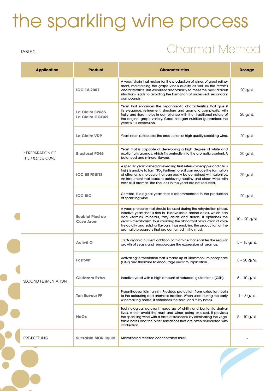# the sparkling wine process

#### TABLE 2

### Charmat Method

|  | <b>Application</b>                   | <b>Product</b>                             | <b>Characteristics</b>                                                                                                                                                                                                                                                                                                                                                                                                | <b>Dosage</b>  |
|--|--------------------------------------|--------------------------------------------|-----------------------------------------------------------------------------------------------------------------------------------------------------------------------------------------------------------------------------------------------------------------------------------------------------------------------------------------------------------------------------------------------------------------------|----------------|
|  | * PREPARATION OF<br>THE PIED DE CUVE | <b>IOC 18-2007</b>                         | A yeast strain that makes for the production of wines of great refine-<br>ment, maintaining the grape vine's quality as well as the terroir's<br>characteristics. This excellent adaptability to meet the most difficult<br>situations leads to avoiding the formation of undesired, secondary<br>compounds.                                                                                                          | 20 g/hL        |
|  |                                      | La Claire SP665<br>La Claire CGC62         | Yeast that enhances the organoleptic characteristics that give it<br>its elegance, refinement, structure and aromatic complexity, with<br>fruity and floral notes in compliance with the traditional nature of<br>the original grape variety. Good nitrogen nutrition guarantees the<br>yeast's full expression.                                                                                                      | 20 g/hL        |
|  |                                      | La Claire VDP                              | Yeast strain suitable for the production of high quality sparkling wine.                                                                                                                                                                                                                                                                                                                                              | 20 g/hL        |
|  |                                      | <b>Blastosel P346</b>                      | Yeast that is capable of developing a high degree of white and<br>exotic fruits aromas, which fits perfectly into the aromatic content. A<br>balanced and mineral flavour.                                                                                                                                                                                                                                            | 20 g/hL        |
|  |                                      | <b>IOC BE FRUITS</b>                       | A specific yeast aimed at revealing fruit esters (pineapple and citrus<br>fruit) is unable to form SO <sub>2</sub> . Furthermore, it can reduce the formation<br>of ethanal, a molecule that can easily be combined with sulphites.<br>An instrument that leads to achieving healthy and clean wine, with<br>fresh fruit aromas. The fine lees in this yeast are not reduced.                                         | 20 g/hL        |
|  |                                      | <b>IOC BIO</b>                             | Certified, biological yeast that is recommended in the production<br>of sparkling wine.                                                                                                                                                                                                                                                                                                                               | 20 g/hL        |
|  |                                      | <b>Ecobiol Pied de</b><br><b>Cuve Arom</b> | A yeast protector that should be used during the rehydration phase.<br>Inactive yeast that is rich in bioavailable amino acids, which can<br>add vitamins, minerals, fatty acids and sterols. It optimises the<br>yeast's metabolism, thus avoiding the abnormal production of vola-<br>tile acidity and sulphur flavours, thus enabling the production of the<br>aromatic precursors that are contained in the must. | $10 - 20$ g/hL |
|  | <b>SECOND FERMENTATION</b>           | <b>Activit O</b>                           | 100% organic nutrient addition of thiamine that enables the regular<br>growth of yeasts and encourages the expression of aromas.                                                                                                                                                                                                                                                                                      | $5 - 15$ g/hL  |
|  |                                      | <b>Fosfovit</b>                            | Activating fermentation that is made up of Diammonium phosphate<br>(DAP) and thiamine to encourage yeast multiplication.                                                                                                                                                                                                                                                                                              | $5 - 20$ g/hL  |
|  |                                      | <b>Glutarom Extra</b>                      | Inactive yeast with a high amount of reduced glutathione (GSH).                                                                                                                                                                                                                                                                                                                                                       | $5 - 10$ g/hL  |
|  |                                      | <b>Tan flavour FF</b>                      | Proanthocyanidin tannin. Provides protection from oxidation, both<br>to the colouring and aromatic fraction. When used during the early<br>winemaking phase, it enhances the floral and fruity notes.                                                                                                                                                                                                                 | $1 - 3$ g/hL   |
|  |                                      | <b>NoOx</b>                                | Technological adjuvant made up of chitin and bentonite deriva-<br>tives, which avoid the must and wines being oxidised. It provides<br>the sparkling wine with a taste of freshness, by eliminating the vege-<br>table notes and the bitter sensations that are often associated with<br>oxidisation.                                                                                                                 | $5 - 10$ g/hL  |
|  | PRE-BOTTLING                         | <b>Sucraisin MCR liquid</b>                | Microfiltered rectified concentrated must.                                                                                                                                                                                                                                                                                                                                                                            |                |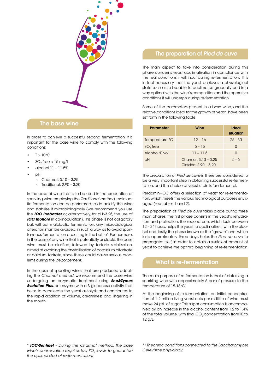

### The base wine

In order to achieve a successful second fermentation, it is important for the base wine to comply with the following conditions:

- $T > 10^{\circ}$ C
- $SO_2$  free < 15 mg/L
- alcohol 11 11.5%
- pH
	- Charmat: 3.10 3.25
	- Traditional: 2.90 3.20

In the case of wine that is to be used in the production of sparkling wine employing the *Traditional method*, malolactic fermentation can be performed to de-acidify the wine and stabilise it microbiologically (we recommend you use the *IOC Inobacter* or, alternatively, for pH>3.25, the use of *IOC Inoflore* in co-inoculation). This phase is not obligatory but, without malolactic fermentation, any microbiological alteration must be avoided, in such a way as to avoid spontaneous fermentation occurring in the bottle\*. Furthermore, in the case of any wine that is potentially unstable, the base wine must be clarified, followed by tartaric stabilisation, aimed at avoiding the crystallisation of potassium bitartrate or calcium tartrate, since these could cause serious problems during the *dégorgement*.

In the case of sparkling wines that are produced adopting the *Charmat method*, we recommend the base wine undergoing an enzymatic treatment using *Eno&Zymes Evolution Plus*, an enzyme with a β-glucanase activity that helps to accelerate the yeast autolysis and contributes to the rapid addition of volume, creaminess and lingering in the mouth.

### The preparation of *Pied de cuve*

The main aspect to take into consideration during this phase concerns yeast acclimatisation in compliance with the real conditions it will incur during re-fermentation. It is in fact necessary that the yeast achieves a physiological state such as to be able to acclimatise gradually and in a way optimal with the wine's composition and the operative conditions it will undergo during re-fermentation.

Some of the parameters present in a base wine, and the relative conditions ideal for the growth of yeast, have been set forth in the following table:

| <b>Parameter</b> | Wine                                            | Ideal<br>situation |
|------------------|-------------------------------------------------|--------------------|
| Temperature °C   | $12 - 16$                                       | $25 - 30$          |
| $SO2$ free       | $5 - 15$                                        | 0                  |
| Alcohol % vol    | $11 - 11.5$                                     | n                  |
| рH               | Charmat: 3.10 - 3.25<br>Classico: $2.90 - 3.20$ | $5 - 6$            |

The preparation of *Pied de cuve* is, therefore, considered to be a very important step in obtaining successful re-fermentation, and the choice of yeast strain is fundamental.

Perdomini-IOC offers a selection of yeast for re-fermentation, which meets the various technological purposes envisaged (see tables 1 and 2).

The preparation of *Pied de cuve* takes place during three main phases: the first phase consists in the yeast's rehydration and protection, the second one, which lasts between 12 – 24 hours, helps the yeast to acclimatise it with the alcohol and, lastly, the phase known as the "growth" one, which lasts approximately three days, helps the *Pied de cuve* to propagate itself, in order to obtain a sufficient amount of yeast to achieve the optimal beginning of re-fermentation.

#### What is re-fermentation

The main purpose of re-fermentation is that of obtaining a sparkling wine with approximately 6 bar of pressure to the temperature of 15-18°C.

At the beginning of re-fermentation, an initial concentration of 1-2 million living yeast cells per millilitre of wine must make 24 g/L of sugar. This sugar consumption is accompanied by an increase in the alcohol content from 1.2 to 1.4% of the total volume, with final CO $_{\textrm{\tiny{2}}}$  concentration from 10 to 12 g/L.

*\* IOC-Sentinel - During the Charmat method, the base*  wine's conservation requires low SO<sub>2</sub> levels to guarantee *the optimal start of re-fermentation.*

*\*\* Theoretic conditions connected to the Saccharomyces Cerevisiae physiology.*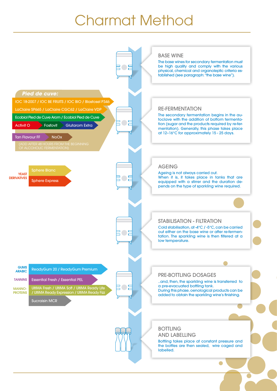## Charmat Method

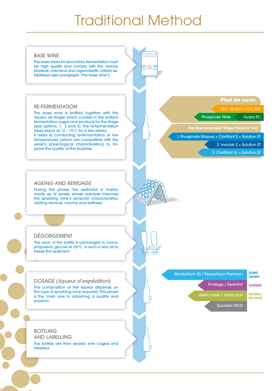### Traditional Method

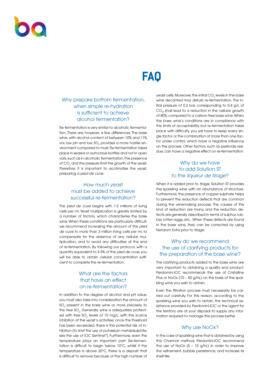### **FAQ**

### Why prepare bottom fermentation, when simple re-hydration is sufficient to achieve alcohol fermentation?

Re-fermentation is very similar to alcoholic fermentation. There are, however, a few differences. The base wine, with alcohol content of between 10% and 11% vol, low pH and low SO $_{\textrm{\tiny{2}}}$  provides a more hostile environment compared to must. Re-fermentation takes place in sealed or autoclave bottles and not in open vats, such as in alcoholic fermentation. The presence of  $\mathrm{CO}_2$  and the pressure limit the growth of the yeast. Therefore, it is important to acclimatise the yeast, preparing a *pied de cuve*.

### How much yeast must be added to achieve successful re-fermentation?

The *pied de cuve* begins with 1-2 millions of living cells per ml. Yeast multiplication is greatly limited by a number of factors, which characterise the base wine. When these conditions are particularly difficult, we recommend increasing the amount of the *pied de cuve* to more than 3 million living cells per ml, to compensate for the absence of any cellular multiplication, and to avoid any difficulties at the end of re-fermentation. By following our protocol, with a quantity equivalent to 3-5% of the *pied de cuve*, you will be able to obtain cellular concentration sufficient to complete the re-fermentation.

### What are the factors that have an effect on re-fermentation?

In addition to the degree of alcohol and pH value, you must also take into consideration the amount of  $\mathrm{SO}_2^{}$  present in the base wine or, more precisely, to the free SO $_{\textrm{\tiny{2}}}$ . Generally, wine is adequately protected with free SO $_{2}$  levels of 10 mg/L, with the scarce inhibition of the yeast's activities; once this threshold has been exceeded, there is the potential risk of inhibition (to limit the use of potassium metabisulphite, see the use of IOC Sentinel\*). Furthermore, even the temperature plays an important part. Re-fermentation is difficult to begin below 10°C, whilst if the temperature is above 20°C, there is a deposit that is difficult to remove because of the high number of

yeast cells. Moreover, the initial CO $_2$  levels in the base wine decanted may disturb re-fermentation. The initial pressure of 0.2 bar, corresponding to 0.4 g/L of  $\mathrm{CO}_{2^{\prime}}$  shall lead to a reduction in the cellular growth of 40%, compared to a carbon free base wine. When the base wine's conditions are in compliance with the limits of acceptability, but re-fermentation takes place with difficulty, you will have to keep every single factor or the combination of more than one factor under control, which have a negative influence on the process. Other factors, such as pesticide residue, can have a negative effect on re-fermentation.

### Why do we have to add Solution ST to the *liqueur de tirage*?

When it is added prior to *tirage*, Solution ST provides the sparkling wine with an abundance of structure. Furthermore, the presence of copper sulphate helps to prevent the reduction defects that are common during the winemaking process. The causes of this kind of reduction are many, and the reduction defects are generally described in terms of sulphur, rubber, rotten eggs, etc.. When these defects are found in the base wine, they can be corrected by using Netarom Extra prior to *tirage*.

### Why do we recommend the use of clarifying products for the preparation of the base wine?

The clarifying products added to the base wine are very important to obtaining a quality end product. Perdomini-IOC recommends the use of Cristalline Plus or NoOx (10 – 50 g/hL) on the basis of the sparkling wine you wish to obtain.

Even the filtration process must necessarily be carried out carefully. For this reason, according to the sparkling wine you wish to obtain, the technical assistance provided by Perdomini-IOC or the agent for the territory are at your disposal to supply any information required to manage the process better.

#### Why use NoOx?

In the case of sparkling wine that is obtained by using the Charmat method, Perdomini-IOC recommend the use of NoOx (5 – 10 g/hL) in order to improve the refinement, bubble persistence, and increase its shelf-life.